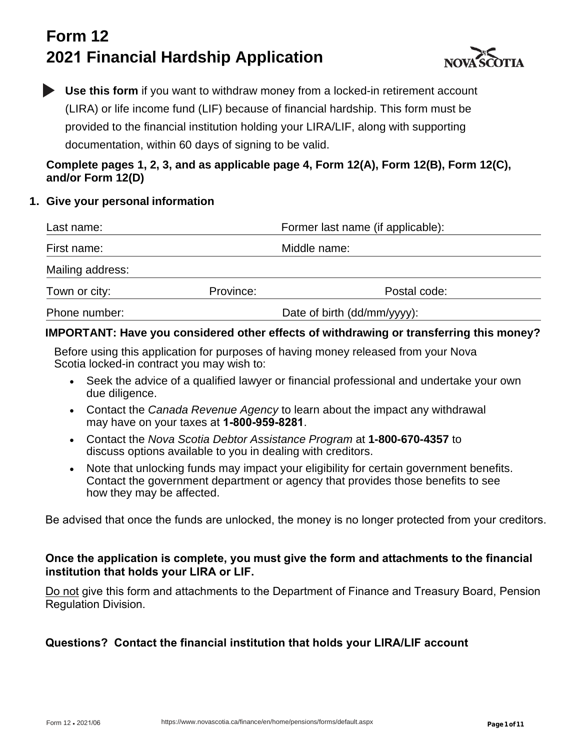# **Form 12 2021 Financial Hardship Application**



**Use this form** if you want to withdraw money from a locked-in retirement account (LIRA) or life income fund (LIF) because of financial hardship. This form must be provided to the financial institution holding your LIRA/LIF, along with supporting documentation, within 60 days of signing to be valid.

### **Complete pages 1, 2, 3, and as applicable page 4, Form 12(A), Form 12(B), Form 12(C), and/or Form 12(D)**

### **1. Give your personal information**

| Last name:       |                             | Former last name (if applicable): |  |  |
|------------------|-----------------------------|-----------------------------------|--|--|
| First name:      |                             | Middle name:                      |  |  |
| Mailing address: |                             |                                   |  |  |
| Town or city:    | Province:                   | Postal code:                      |  |  |
| Phone number:    | Date of birth (dd/mm/yyyy): |                                   |  |  |

### **IMPORTANT: Have you considered other effects of withdrawing or transferring this money?**

Before using this application for purposes of having money released from your Nova Scotia locked-in contract you may wish to:

- Seek the advice of a qualified lawyer or financial professional and undertake your own due diligence.
- Contact the *Canada Revenue Agency* to learn about the impact any withdrawal may have on your taxes at **1-800-959-8281**.
- Contact the *Nova Scotia Debtor Assistance Program* at **1-800-670-4357** to discuss options available to you in dealing with creditors.
- Note that unlocking funds may impact your eligibility for certain government benefits. Contact the government department or agency that provides those benefits to see how they may be affected.

Be advised that once the funds are unlocked, the money is no longer protected from your creditors.

#### **Once the application is complete, you must give the form and attachments to the financial institution that holds your LIRA or LIF.**

Do not give this form and attachments to the Department of Finance and Treasury Board, Pension Regulation Division.

## **Questions?****Contact the financial institution that holds your LIRA/LIF account**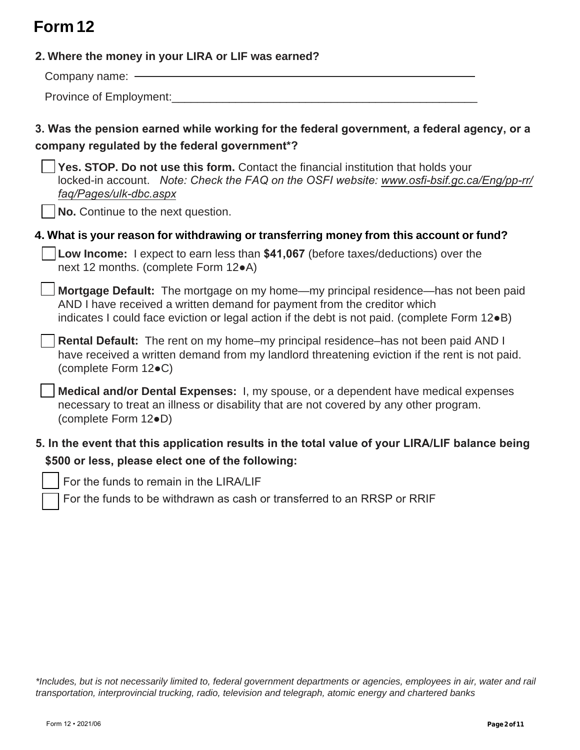# **Form 12**

| 2. Where the money in your LIRA or LIF was earned?                                                                                                                                                                                                              |
|-----------------------------------------------------------------------------------------------------------------------------------------------------------------------------------------------------------------------------------------------------------------|
| Company name: -                                                                                                                                                                                                                                                 |
| Province of Employment:                                                                                                                                                                                                                                         |
| 3. Was the pension earned while working for the federal government, a federal agency, or a<br>company regulated by the federal government*?                                                                                                                     |
| Yes. STOP. Do not use this form. Contact the financial institution that holds your<br>locked-in account. Note: Check the FAQ on the OSFI website: www.osfi-bsif.gc.ca/Eng/pp-rr/<br>faq/Pages/ulk-dbc.aspx<br>No. Continue to the next question.                |
| 4. What is your reason for withdrawing or transferring money from this account or fund?                                                                                                                                                                         |
| Low Income: I expect to earn less than \$41,067 (before taxes/deductions) over the<br>next 12 months. (complete Form 12 $\bullet$ A)                                                                                                                            |
| Mortgage Default: The mortgage on my home-my principal residence-has not been paid<br>AND I have received a written demand for payment from the creditor which<br>indicates I could face eviction or legal action if the debt is not paid. (complete Form 12.B) |
| Rental Default: The rent on my home-my principal residence-has not been paid AND I<br>have received a written demand from my landlord threatening eviction if the rent is not paid.<br>(complete Form 12●C)                                                     |
| Medical and/or Dental Expenses: I, my spouse, or a dependent have medical expenses<br>necessary to treat an illness or disability that are not covered by any other program.<br>(complete Form 12.D)                                                            |
| 5. In the event that this application results in the total value of your LIRA/LIF balance being<br>\$500 or less, please elect one of the following:                                                                                                            |

For the funds to remain in the LIRA/LIF

For the funds to be withdrawn as cash or transferred to an RRSP or RRIF

*\*Includes, but is not necessarily limited to, federal government departments or agencies, employees in air, water and rail transportation, interprovincial trucking, radio, television and telegraph, atomic energy and chartered banks*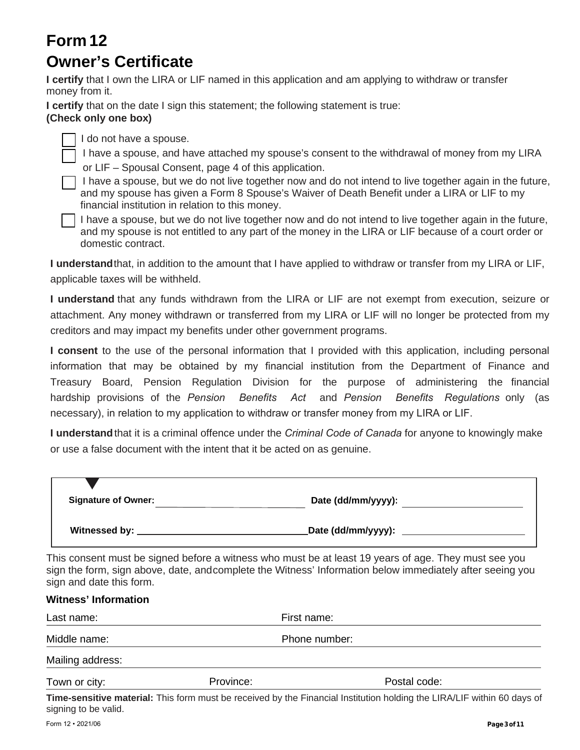## **Form 12 Owner's Certificate**

**I certify** that I own the LIRA or LIF named in this application and am applying to withdraw or transfer money from it.

**I certify** that on the date I sign this statement; the following statement is true:

### **(Check only one box)**

I do not have a spouse.

I have a spouse, and have attached my spouse's consent to the withdrawal of money from my LIRA or LIF – Spousal Consent, page 4 of this application.

I have a spouse, but we do not live together now and do not intend to live together again in the future, and my spouse has given a Form 8 Spouse's Waiver of Death Benefit under a LIRA or LIF to my financial institution in relation to this money.

I have a spouse, but we do not live together now and do not intend to live together again in the future, and my spouse is not entitled to any part of the money in the LIRA or LIF because of a court order or domestic contract.

**I understand**that, in addition to the amount that I have applied to withdraw or transfer from my LIRA or LIF, applicable taxes will be withheld.

**I understand** that any funds withdrawn from the LIRA or LIF are not exempt from execution, seizure or attachment. Any money withdrawn or transferred from my LIRA or LIF will no longer be protected from my creditors and may impact my benefits under other government programs.

**I consent** to the use of the personal information that I provided with this application, including personal information that may be obtained by my financial institution from the Department of Finance and Treasury Board, Pension Regulation Division for the purpose of administering the financial hardship provisions of the *Pension Benefits Act* and *Pension Benefits Regulations* only (as necessary), in relation to my application to withdraw or transfer money from my LIRA or LIF.

**I understand**that it is a criminal offence under the *Criminal Code of Canada* for anyone to knowingly make or use a false document with the intent that it be acted on as genuine.

| <b>Signature of Owner:</b> | Date (dd/mm/yyyy):  |
|----------------------------|---------------------|
| Witnessed by:              | _Date (dd/mm/yyyy): |

This consent must be signed before a witness who must be at least 19 years of age. They must see you sign the form, sign above, date, andcomplete the Witness' Information below immediately after seeing you sign and date this form.

| <b>Witness' Information</b> |  |                                                                                                                                    |  |  |  |
|-----------------------------|--|------------------------------------------------------------------------------------------------------------------------------------|--|--|--|
| Last name:                  |  | First name:                                                                                                                        |  |  |  |
| Middle name:                |  | Phone number:                                                                                                                      |  |  |  |
| Mailing address:            |  |                                                                                                                                    |  |  |  |
| Province:<br>Town or city:  |  | Postal code:                                                                                                                       |  |  |  |
|                             |  | 로 나는 그 사람이 아니라 그 사람들이 아니라 그 사람들이 아니라 그 사람들이 아니라 그 사람들이 아니라 그 사람들이 아니라 그 사람들이 아니라 그 사람들이 아니라 그 사람들이 어디 있다. 이 사람들은 아니라 그 사람들이 어디 있다. |  |  |  |

**Time-sensitive material:** This form must be received by the Financial Institution holding the LIRA/LIF within 60 days of signing to be valid.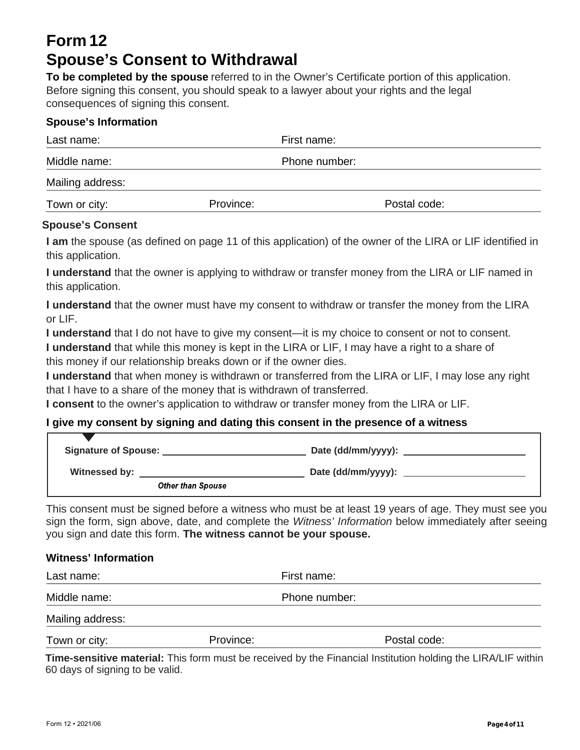## **Form 12 Spouse's Consent to Withdrawal**

**To be completed by the spouse** referred to in the Owner's Certificate portion of this application. Before signing this consent, you should speak to a lawyer about your rights and the legal consequences of signing this consent.

#### **Spouse's Information**

| Last name:       |           | First name:   |  |  |
|------------------|-----------|---------------|--|--|
| Middle name:     |           | Phone number: |  |  |
| Mailing address: |           |               |  |  |
| Town or city:    | Province: | Postal code:  |  |  |

#### **Spouse's Consent**

**I am** the spouse (as defined on page 11 of this application) of the owner of the LIRA or LIF identified in this application.

**I understand** that the owner is applying to withdraw or transfer money from the LIRA or LIF named in this application.

**I understand** that the owner must have my consent to withdraw or transfer the money from the LIRA or LIF.

**I understand** that I do not have to give my consent—it is my choice to consent or not to consent.

**I understand** that while this money is kept in the LIRA or LIF, I may have a right to a share of this money if our relationship breaks down or if the owner dies.

**I understand** that when money is withdrawn or transferred from the LIRA or LIF, I may lose any right that I have to a share of the money that is withdrawn of transferred.

**I consent** to the owner's application to withdraw or transfer money from the LIRA or LIF.

#### **I give my consent by signing and dating this consent in the presence of a witness**

| <b>Signature of Spouse:</b> | Date (dd/mm/yyyy): |
|-----------------------------|--------------------|
| Witnessed by:               | Date (dd/mm/yyyy): |
| <b>Other than Spouse</b>    |                    |

This consent must be signed before a witness who must be at least 19 years of age. They must see you sign the form, sign above, date, and complete the *Witness' Information* below immediately after seeing you sign and date this form. **The witness cannot be your spouse.**

#### **Witness' Information**

| Last name:       |           | First name:   |              |  |
|------------------|-----------|---------------|--------------|--|
| Middle name:     |           | Phone number: |              |  |
| Mailing address: |           |               |              |  |
| Town or city:    | Province: |               | Postal code: |  |

**Time-sensitive material:** This form must be received by the Financial Institution holding the LIRA/LIF within 60 days of signing to be valid.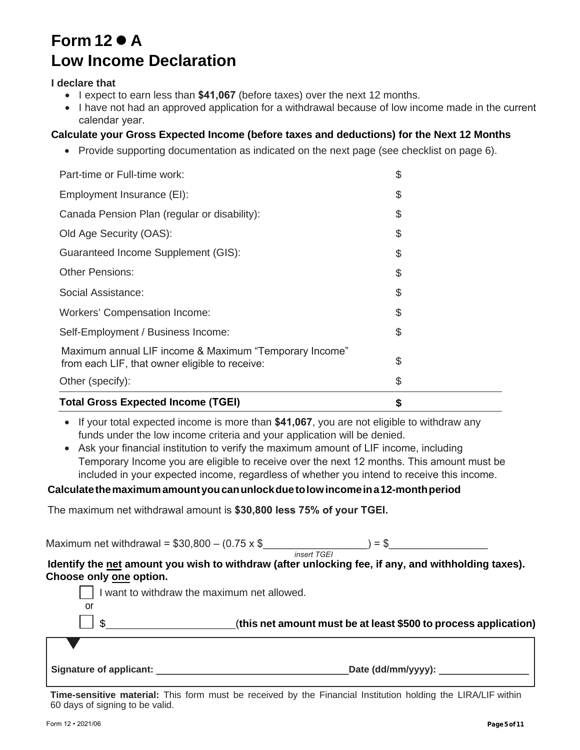## **Form 12 A Low Income Declaration**

#### **I declare that**

- I expect to earn less than **\$41,067** (before taxes) over the next 12 months.
- I have not had an approved application for a withdrawal because of low income made in the current calendar year.

#### **Calculate your Gross Expected Income (before taxes and deductions) for the Next 12 Months**

• Provide supporting documentation as indicated on the next page (see checklist on page 6).

| <b>Total Gross Expected Income (TGEI)</b>                                                                |  |
|----------------------------------------------------------------------------------------------------------|--|
| Other (specify):                                                                                         |  |
| Maximum annual LIF income & Maximum "Temporary Income"<br>from each LIF, that owner eligible to receive: |  |
| Self-Employment / Business Income:                                                                       |  |
| <b>Workers' Compensation Income:</b>                                                                     |  |
| Social Assistance:                                                                                       |  |
| Other Pensions:                                                                                          |  |
| <b>Guaranteed Income Supplement (GIS):</b>                                                               |  |
| Old Age Security (OAS):                                                                                  |  |
| Canada Pension Plan (regular or disability):                                                             |  |
| Employment Insurance (EI):                                                                               |  |
| Part-time or Full-time work:                                                                             |  |

• If your total expected income is more than \$41,067, you are not eligible to withdraw any funds under the low income criteria and your application will be denied.

• Ask your financial institution to verify the maximum amount of LIF income, including Temporary Income you are eligible to receive over the next 12 months. This amount must be included in your expected income, regardless of whether you intend to receive this income.

#### **Calculate the maximum amount you can unlock due to low income in a 12-month period**

The maximum net withdrawal amount is **\$30,800 less 75% of your TGEI.**

Maximum net withdrawal =  $$30,800 - (0.75 \times $$ 

*insert TGEI*

**Identify the net amount you wish to withdraw (after unlocking fee, if any, and withholding taxes). Choose only one option.** 

|                         | I want to withdraw the maximum net allowed.                     |
|-------------------------|-----------------------------------------------------------------|
| or                      |                                                                 |
|                         | (this net amount must be at least \$500 to process application) |
|                         |                                                                 |
| Signature of applicant: | Date (dd/mm/yyyy):                                              |

**Time-sensitive material:** This form must be received by the Financial Institution holding the LIRA/LIF within 60 days of signing to be valid.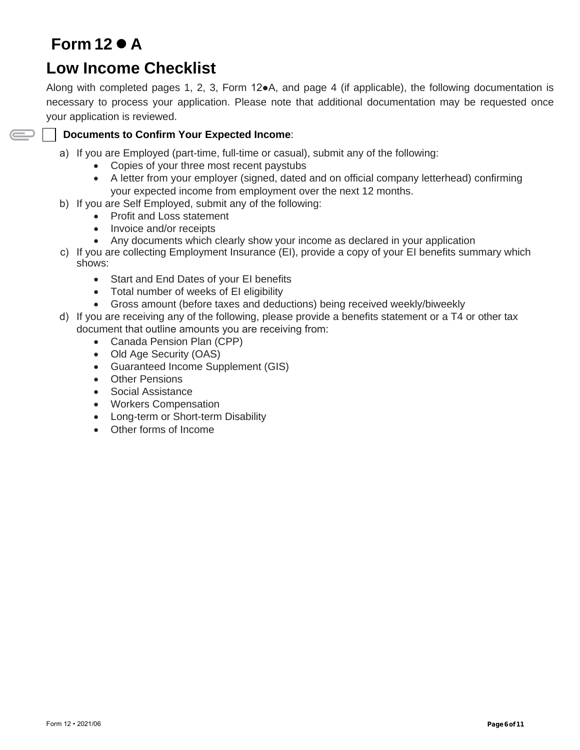# **Form 12 A**

 $\displaystyle\bigoplus$ 

## **Low Income Checklist**

Along with completed pages 1, 2, 3, Form 12●A, and page 4 (if applicable), the following documentation is necessary to process your application. Please note that additional documentation may be requested once your application is reviewed.

#### **Documents to Confirm Your Expected Income**:

- a) If you are Employed (part-time, full-time or casual), submit any of the following:
	- Copies of your three most recent paystubs
	- A letter from your employer (signed, dated and on official company letterhead) confirming your expected income from employment over the next 12 months.
- b) If you are Self Employed, submit any of the following:
	- Profit and Loss statement
	- Invoice and/or receipts
	- Any documents which clearly show your income as declared in your application
- c) If you are collecting Employment Insurance (EI), provide a copy of your EI benefits summary which shows:
	- Start and End Dates of your EI benefits
	- Total number of weeks of EI eligibility
	- Gross amount (before taxes and deductions) being received weekly/biweekly
- d) If you are receiving any of the following, please provide a benefits statement or a T4 or other tax document that outline amounts you are receiving from:
	- Canada Pension Plan (CPP)
	- Old Age Security (OAS)
	- Guaranteed Income Supplement (GIS)
	- Other Pensions
	- Social Assistance
	- Workers Compensation
	- Long-term or Short-term Disability
	- Other forms of Income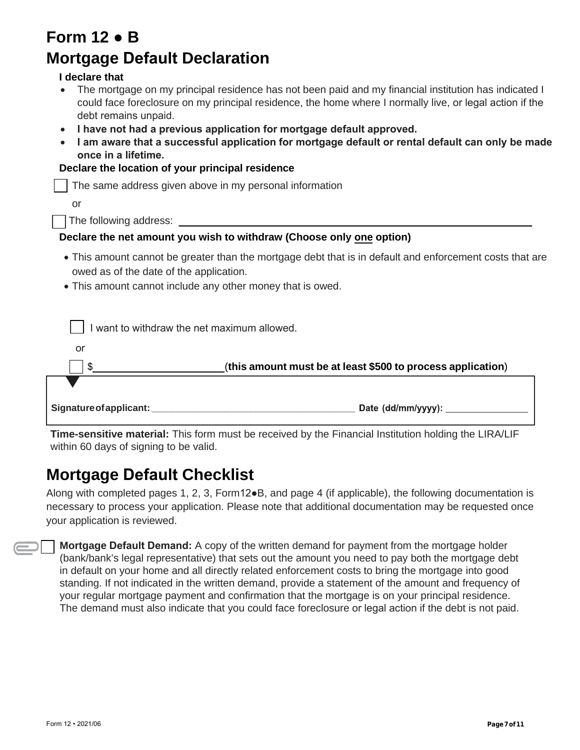| Form 12 $\bullet$ B                                                                                                                                                                                                                       |
|-------------------------------------------------------------------------------------------------------------------------------------------------------------------------------------------------------------------------------------------|
| <b>Mortgage Default Declaration</b>                                                                                                                                                                                                       |
| I declare that                                                                                                                                                                                                                            |
| The mortgage on my principal residence has not been paid and my financial institution has indicated I<br>could face foreclosure on my principal residence, the home where I normally live, or legal action if the<br>debt remains unpaid. |
| I have not had a previous application for mortgage default approved.<br>I am aware that a successful application for mortgage default or rental default can only be made<br>once in a lifetime.                                           |
| Declare the location of your principal residence                                                                                                                                                                                          |
| The same address given above in my personal information                                                                                                                                                                                   |
| or                                                                                                                                                                                                                                        |
|                                                                                                                                                                                                                                           |
| Declare the net amount you wish to withdraw (Choose only one option)                                                                                                                                                                      |
| • This amount cannot be greater than the mortgage debt that is in default and enforcement costs that are<br>owed as of the date of the application.                                                                                       |
| • This amount cannot include any other money that is owed.                                                                                                                                                                                |
|                                                                                                                                                                                                                                           |
| I want to withdraw the net maximum allowed.                                                                                                                                                                                               |
| or                                                                                                                                                                                                                                        |
| (this amount must be at least \$500 to process application)<br>\$.                                                                                                                                                                        |
|                                                                                                                                                                                                                                           |
|                                                                                                                                                                                                                                           |

**Time-sensitive material:** This form must be received by the Financial Institution holding the LIRA/LIF within 60 days of signing to be valid.

## **Mortgage Default Checklist**

Along with completed pages 1, 2, 3, Form12●B, and page 4 (if applicable), the following documentation is necessary to process your application. Please note that additional documentation may be requested once your application is reviewed.

**Mortgage Default Demand:** A copy of the written demand for payment from the mortgage holder (bank/bank's legal representative) that sets out the amount you need to pay both the mortgage debt in default on your home and all directly related enforcement costs to bring the mortgage into good standing. If not indicated in the written demand, provide a statement of the amount and frequency of your regular mortgage payment and confirmation that the mortgage is on your principal residence. The demand must also indicate that you could face foreclosure or legal action if the debt is not paid.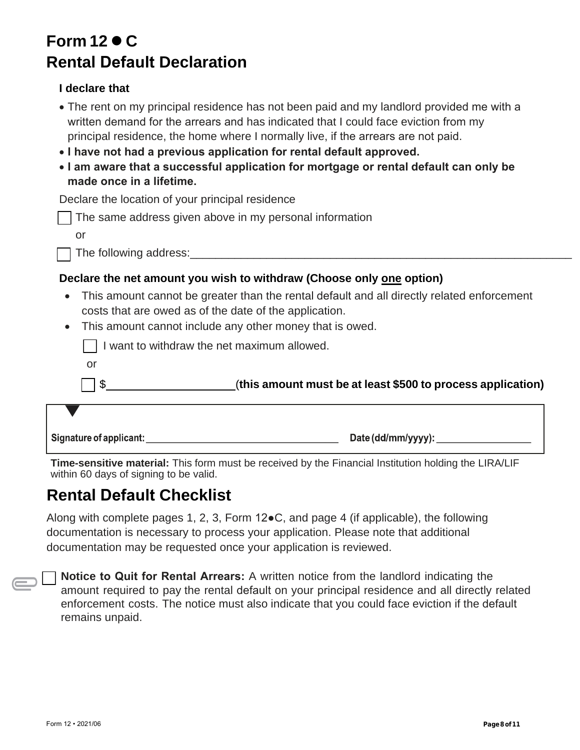# **Form 12 C Rental Default Declaration**

### **I declare that**

| • The rent on my principal residence has not been paid and my landlord provided me with a |
|-------------------------------------------------------------------------------------------|
| written demand for the arrears and has indicated that I could face eviction from my       |
| principal residence, the home where I normally live, if the arrears are not paid.         |

- **I have not had a previous application for rental default approved.**
- **I am aware that a successful application for mortgage or rental default can only be made once in a lifetime.**

Declare the location of your principal residence

| The same address given above in my personal information |  |  |  |
|---------------------------------------------------------|--|--|--|
|                                                         |  |  |  |

or

The following address:

### **Declare the net amount you wish to withdraw (Choose only one option)**

- This amount cannot be greater than the rental default and all directly related enforcement costs that are owed as of the date of the application.
- This amount cannot include any other money that is owed.

| Signature of applicant: | Date (dd/mm/yyyy):                                          |
|-------------------------|-------------------------------------------------------------|
|                         |                                                             |
|                         | (this amount must be at least \$500 to process application) |
| or                      |                                                             |
|                         | want to withdraw the net maximum allowed.                   |

**Time-sensitive material:** This form must be received by the Financial Institution holding the LIRA/LIF within 60 days of signing to be valid.

## **Rental Default Checklist**

Along with complete pages 1, 2, 3, Form 12●C, and page 4 (if applicable), the following documentation is necessary to process your application. Please note that additional documentation may be requested once your application is reviewed.

**Notice to Quit for Rental Arrears:** A written notice from the landlord indicating the amount required to pay the rental default on your principal residence and all directly related enforcement costs. The notice must also indicate that you could face eviction if the default remains unpaid.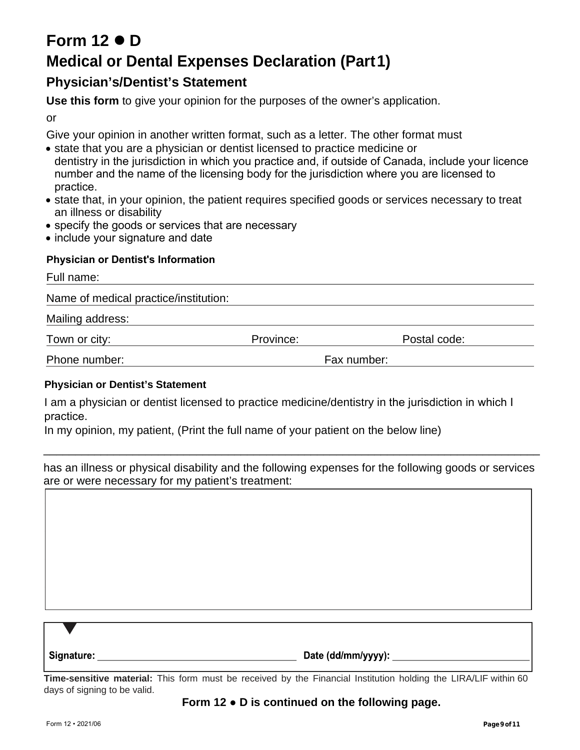# **Form 12 D Medical or Dental Expenses Declaration (Part1)**

## **Physician's/Dentist's Statement**

**Use this form** to give your opinion for the purposes of the owner's application.

or

Give your opinion in another written format, such as a letter. The other format must

- state that you are a physician or dentist licensed to practice medicine or dentistry in the jurisdiction in which you practice and, if outside of Canada, include your licence number and the name of the licensing body for the jurisdiction where you are licensed to practice.
- state that, in your opinion, the patient requires specified goods or services necessary to treat an illness or disability
- specify the goods or services that are necessary
- include your signature and date

#### **Physician or Dentist's Information**

Full name: Name of medical practice/institution: Mailing address: Town or city: Town or city: Town or city: Research Allen Code: Postal code: Postal code: Phone number: Fax number:

#### **Physician or Dentist's Statement**

I am a physician or dentist licensed to practice medicine/dentistry in the jurisdiction in which I practice.

In my opinion, my patient, (Print the full name of your patient on the below line)

has an illness or physical disability and the following expenses for the following goods or services are or were necessary for my patient's treatment:

\_\_\_\_\_\_\_\_\_\_\_\_\_\_\_\_\_\_\_\_\_\_\_\_\_\_\_\_\_\_\_\_\_\_\_\_\_\_\_\_\_\_\_\_\_\_\_\_\_\_\_\_\_\_\_\_\_\_\_\_\_\_\_\_\_\_\_\_\_\_\_\_\_\_\_\_\_\_

| Signature: | Date (dd/mm/yyyy): |
|------------|--------------------|

**Time-sensitive material:** This form must be received by the Financial Institution holding the LIRA/LIF within 60 days of signing to be valid.

#### **Form 12** ● **D is continued on the following page.**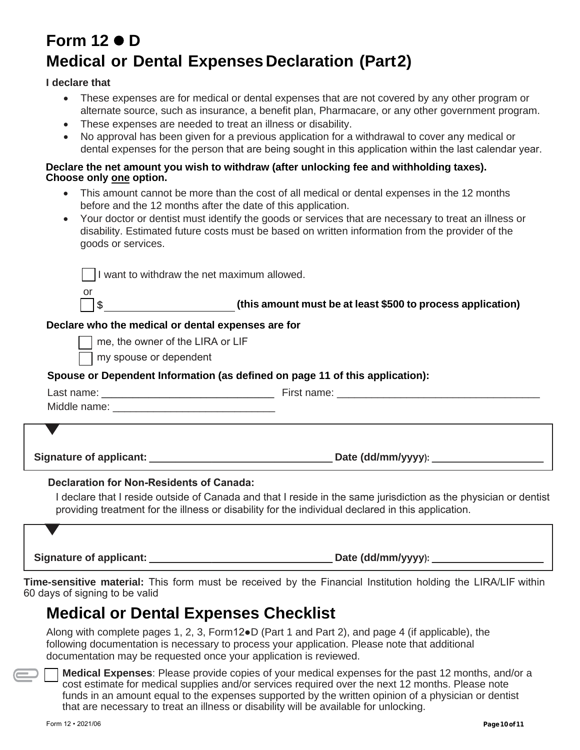# **Form 12 D Medical or Dental Expenses Declaration (Part2)**

#### **I declare that**

- These expenses are for medical or dental expenses that are not covered by any other program or alternate source, such as insurance, a benefit plan, Pharmacare, or any other government program.
- These expenses are needed to treat an illness or disability.
- No approval has been given for a previous application for a withdrawal to cover any medical or dental expenses for the person that are being sought in this application within the last calendar year.

#### **Declare the net amount you wish to withdraw (after unlocking fee and withholding taxes). Choose only one option.**

- This amount cannot be more than the cost of all medical or dental expenses in the 12 months before and the 12 months after the date of this application.
- Your doctor or dentist must identify the goods or services that are necessary to treat an illness or disability. Estimated future costs must be based on written information from the provider of the goods or services.

|                                                    | I want to withdraw the net maximum allowed.                                                                                                                                                                            |
|----------------------------------------------------|------------------------------------------------------------------------------------------------------------------------------------------------------------------------------------------------------------------------|
| or<br>$\frac{1}{2}$                                | (this amount must be at least \$500 to process application)                                                                                                                                                            |
| Declare who the medical or dental expenses are for |                                                                                                                                                                                                                        |
| me, the owner of the LIRA or LIF                   |                                                                                                                                                                                                                        |
| my spouse or dependent                             |                                                                                                                                                                                                                        |
|                                                    | Spouse or Dependent Information (as defined on page 11 of this application):                                                                                                                                           |
|                                                    |                                                                                                                                                                                                                        |
|                                                    |                                                                                                                                                                                                                        |
|                                                    |                                                                                                                                                                                                                        |
|                                                    |                                                                                                                                                                                                                        |
| <b>Declaration for Non-Residents of Canada:</b>    | I declare that I reside outside of Canada and that I reside in the same jurisdiction as the physician or dentist<br>providing treatment for the illness or disability for the individual declared in this application. |

**Signature of applicant: Date (dd/mm/yyyy**

**Time-sensitive material:** This form must be received by the Financial Institution holding the LIRA/LIF within 60 days of signing to be valid

## **Medical or Dental Expenses Checklist**

Along with complete pages 1, 2, 3, Form12●D (Part 1 and Part 2), and page 4 (if applicable), the following documentation is necessary to process your application. Please note that additional documentation may be requested once your application is reviewed.

**Medical Expenses**: Please provide copies of your medical expenses for the past 12 months, and/or a cost estimate for medical supplies and/or services required over the next 12 months. Please note funds in an amount equal to the expenses supported by the written opinion of a physician or dentist that are necessary to treat an illness or disability will be available for unlocking.